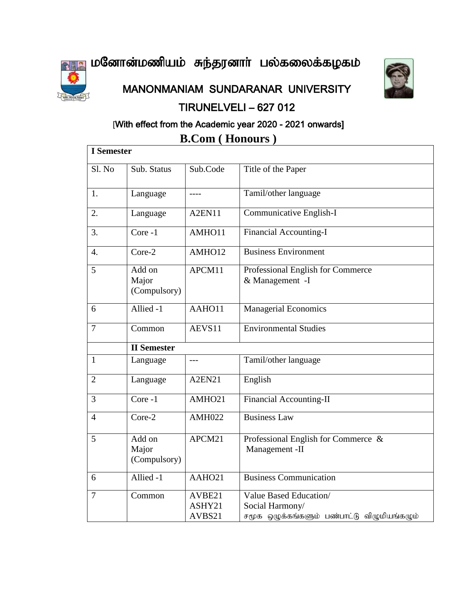

MANONMANIAM SUNDARANAR UNIVERSITY TIRUNELVELI – 627 012



## [With effect from the Academic year 2020 - 2021 onwards] **B.Com ( Honours )**

| <b>I</b> Semester |                                 |                                 |                                                                                          |  |  |  |
|-------------------|---------------------------------|---------------------------------|------------------------------------------------------------------------------------------|--|--|--|
| Sl. No            | Sub. Status                     | Sub.Code                        | Title of the Paper                                                                       |  |  |  |
| 1.                | Language                        |                                 | Tamil/other language                                                                     |  |  |  |
| 2.                | Language                        | A <sub>2</sub> EN <sub>11</sub> | Communicative English-I                                                                  |  |  |  |
| 3.                | Core-1                          | AMHO11                          | <b>Financial Accounting-I</b>                                                            |  |  |  |
| $\overline{4}$ .  | Core-2                          | AMHO12                          | <b>Business Environment</b>                                                              |  |  |  |
| 5                 | Add on<br>Major<br>(Compulsory) | APCM11                          | Professional English for Commerce<br>& Management -I                                     |  |  |  |
| 6                 | Allied -1                       | AAHO11                          | <b>Managerial Economics</b>                                                              |  |  |  |
| $\overline{7}$    | Common                          | AEVS11                          | <b>Environmental Studies</b>                                                             |  |  |  |
|                   | <b>II</b> Semester              |                                 |                                                                                          |  |  |  |
| $\mathbf{1}$      | Language                        | $---$                           | Tamil/other language                                                                     |  |  |  |
| $\overline{2}$    | Language                        | <b>A2EN21</b>                   | English                                                                                  |  |  |  |
| 3                 | Core-1                          | AMHO21                          | <b>Financial Accounting-II</b>                                                           |  |  |  |
| $\overline{4}$    | Core-2                          | <b>AMH022</b>                   | <b>Business Law</b>                                                                      |  |  |  |
| 5                 | Add on<br>Major<br>(Compulsory) | APCM21                          | Professional English for Commerce &<br>Management -II                                    |  |  |  |
| 6                 | Allied -1                       | AAHO21                          | <b>Business Communication</b>                                                            |  |  |  |
| $\tau$            | Common                          | AVBE21<br>ASHY21<br>AVBS21      | Value Based Education/<br>Social Harmony/<br>சமூக ஒழுக்கங்களும் பண்பாட்டு விழுமியங்கழும் |  |  |  |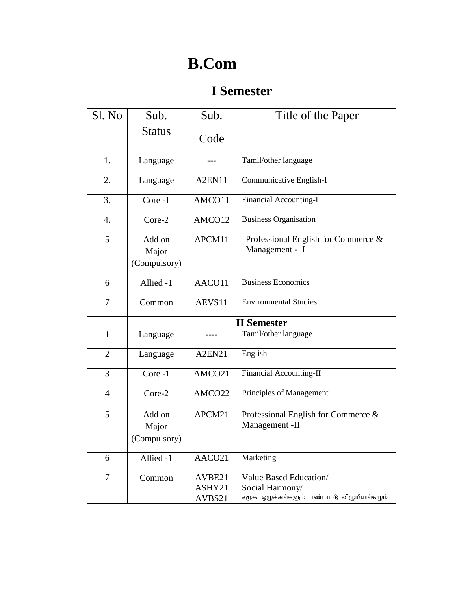## **B.Com**

| <b>I</b> Semester |                                 |                            |                                                                                          |  |  |
|-------------------|---------------------------------|----------------------------|------------------------------------------------------------------------------------------|--|--|
| Sl. No            | Sub.                            | Sub.                       | Title of the Paper                                                                       |  |  |
|                   | <b>Status</b>                   | Code                       |                                                                                          |  |  |
| 1.                | Language                        |                            | Tamil/other language                                                                     |  |  |
| 2.                | Language                        | A2EN11                     | <b>Communicative English-I</b>                                                           |  |  |
| 3.                | Core-1                          | AMCO11                     | Financial Accounting-I                                                                   |  |  |
| 4.                | Core-2                          | AMCO12                     | <b>Business Organisation</b>                                                             |  |  |
| 5                 | Add on<br>Major<br>(Compulsory) | APCM11                     | Professional English for Commerce &<br>Management - I                                    |  |  |
| 6                 | Allied -1                       | AACO11                     | <b>Business Economics</b>                                                                |  |  |
| $\overline{7}$    | Common                          | AEVS11                     | <b>Environmental Studies</b>                                                             |  |  |
|                   |                                 |                            | <b>II</b> Semester                                                                       |  |  |
| $\mathbf{1}$      | Language                        |                            | Tamil/other language                                                                     |  |  |
| 2                 | Language                        | A2EN21                     | English                                                                                  |  |  |
| 3                 | Core-1                          | AMCO21                     | Financial Accounting-II                                                                  |  |  |
| $\overline{4}$    | Core-2                          | AMCO22                     | Principles of Management                                                                 |  |  |
| 5                 | Add on<br>Major<br>(Compulsory) | APCM21                     | Professional English for Commerce &<br>Management - II                                   |  |  |
| 6                 | Allied -1                       | AACO21                     | Marketing                                                                                |  |  |
| $\overline{7}$    | Common                          | AVBE21<br>ASHY21<br>AVBS21 | Value Based Education/<br>Social Harmony/<br>சமூக ஒழுக்கங்களும் பண்பாட்டு விழுமியங்கழும் |  |  |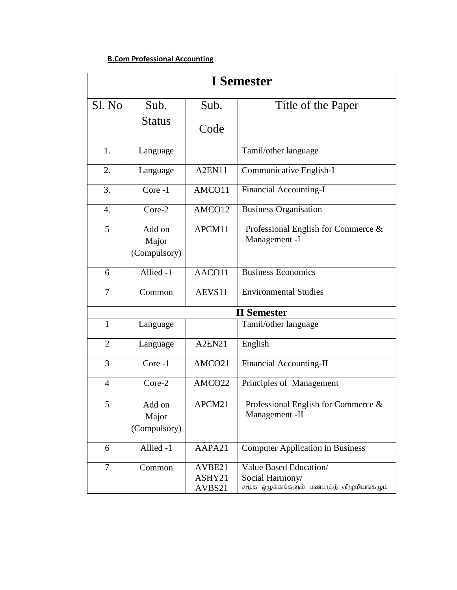## **B.Com Professional Accounting**

| <b>I</b> Semester |                                 |                            |                                                                                          |  |  |
|-------------------|---------------------------------|----------------------------|------------------------------------------------------------------------------------------|--|--|
| Sl. No            | Sub.                            | Sub.                       | Title of the Paper                                                                       |  |  |
|                   | <b>Status</b>                   | Code                       |                                                                                          |  |  |
| 1.                | Language                        |                            | Tamil/other language                                                                     |  |  |
| 2.                | Language                        | A2EN11                     | Communicative English-I                                                                  |  |  |
| 3.                | Core-1                          | AMCO11                     | Financial Accounting-I                                                                   |  |  |
| $\overline{4}$ .  | Core-2                          | AMCO12                     | <b>Business Organisation</b>                                                             |  |  |
| 5                 | Add on<br>Major<br>(Compulsory) | APCM11                     | Professional English for Commerce &<br>Management -I                                     |  |  |
| 6                 | Allied -1                       | AACO11                     | <b>Business Economics</b>                                                                |  |  |
| 7                 | Common                          | AEVS11                     | <b>Environmental Studies</b>                                                             |  |  |
|                   |                                 |                            | <b>II</b> Semester                                                                       |  |  |
| $\mathbf{1}$      | Language                        |                            | Tamil/other language                                                                     |  |  |
| 2                 | Language                        | A2EN21                     | English                                                                                  |  |  |
| 3                 | Core-1                          | AMCO21                     | <b>Financial Accounting-II</b>                                                           |  |  |
| $\overline{4}$    | Core-2                          | AMCO22                     | Principles of Management                                                                 |  |  |
| 5                 | Add on<br>Major<br>(Compulsory) | APCM21                     | Professional English for Commerce &<br>Management -II                                    |  |  |
| 6                 | Allied -1                       | AAPA21                     | <b>Computer Application in Business</b>                                                  |  |  |
| 7                 | Common                          | AVBE21<br>ASHY21<br>AVBS21 | Value Based Education/<br>Social Harmony/<br>சமூக ஒழுக்கங்களும் பண்பாட்டு விழுமியங்கழும் |  |  |